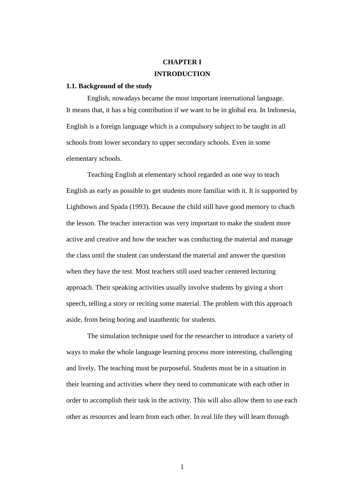# **CHAPTER I INTRODUCTION**

### **1.1. Background of the study**

English, nowadays became the most important international language. It means that, it has a big contribution if we want to be in global era. In Indonesia, English is a foreign language which is a compulsory subject to be taught in all schools from lower secondary to upper secondary schools. Even in some elementary schools.

Teaching English at elementary school regarded as one way to teach English as early as possible to get students more familiar with it. It is supported by Lightbown and Spada (1993). Because the child still have good memory to chach the lesson. The teacher interaction was very important to make the student more active and creative and how the teacher was conducting the material and manage the class until the student can understand the material and answer the question when they have the test. Most teachers still used teacher centered lecturing approach. Their speaking activities usually involve students by giving a short speech, telling a story or reciting some material. The problem with this approach aside, from being boring and inauthentic for students.

The simulation technique used for the researcher to introduce a variety of ways to make the whole language learning process more interesting, challenging and lively. The teaching must be purposeful. Students must be in a situation in their learning and activities where they need to communicate with each other in order to accomplish their task in the activity. This will also allow them to use each other as resources and learn from each other. In real life they will learn through

1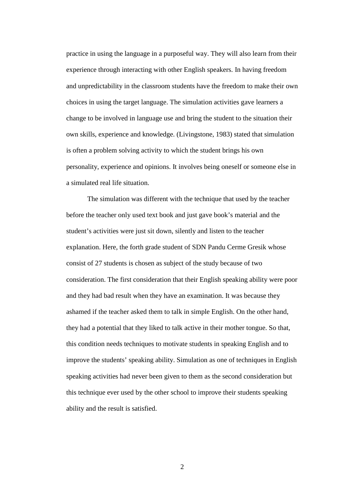practice in using the language in a purposeful way. They will also learn from their experience through interacting with other English speakers. In having freedom and unpredictability in the classroom students have the freedom to make their own choices in using the target language. The simulation activities gave learners a change to be involved in language use and bring the student to the situation their own skills, experience and knowledge. (Livingstone, 1983) stated that simulation is often a problem solving activity to which the student brings his own personality, experience and opinions. It involves being oneself or someone else in a simulated real life situation.

The simulation was different with the technique that used by the teacher before the teacher only used text book and just gave book's material and the student's activities were just sit down, silently and listen to the teacher explanation. Here, the forth grade student of SDN Pandu Cerme Gresik whose consist of 27 students is chosen as subject of the study because of two consideration. The first consideration that their English speaking ability were poor and they had bad result when they have an examination. It was because they ashamed if the teacher asked them to talk in simple English. On the other hand, they had a potential that they liked to talk active in their mother tongue. So that, this condition needs techniques to motivate students in speaking English and to improve the students' speaking ability. Simulation as one of techniques in English speaking activities had never been given to them as the second consideration but this technique ever used by the other school to improve their students speaking ability and the result is satisfied.

2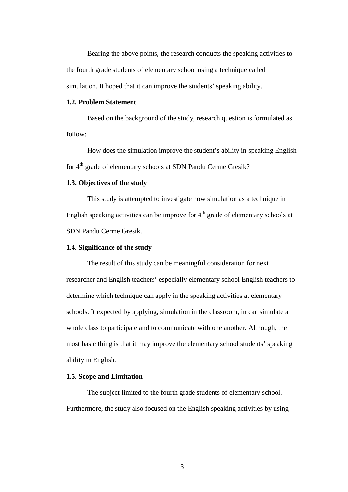Bearing the above points, the research conducts the speaking activities to the fourth grade students of elementary school using a technique called simulation. It hoped that it can improve the students' speaking ability.

## **1.2. Problem Statement**

Based on the background of the study, research question is formulated as follow:

How does the simulation improve the student's ability in speaking English for 4<sup>th</sup> grade of elementary schools at SDN Pandu Cerme Gresik?

## **1.3. Objectives of the study**

This study is attempted to investigate how simulation as a technique in English speaking activities can be improve for  $4<sup>th</sup>$  grade of elementary schools at SDN Pandu Cerme Gresik.

## **1.4. Significance of the study**

The result of this study can be meaningful consideration for next researcher and English teachers' especially elementary school English teachers to determine which technique can apply in the speaking activities at elementary schools. It expected by applying, simulation in the classroom, in can simulate a whole class to participate and to communicate with one another. Although, the most basic thing is that it may improve the elementary school students' speaking ability in English.

### **1.5. Scope and Limitation**

The subject limited to the fourth grade students of elementary school. Furthermore, the study also focused on the English speaking activities by using